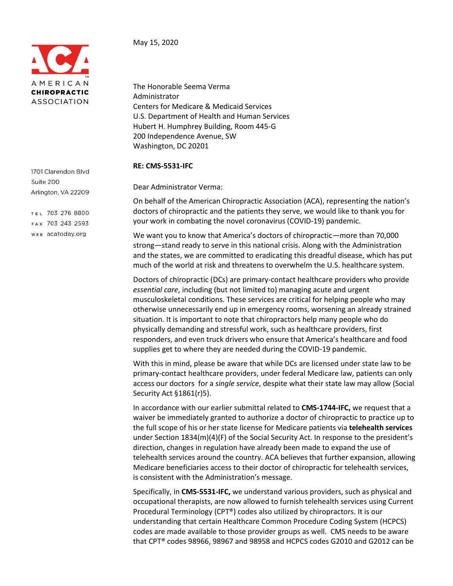

1701 Clarendon Blvd Suite 200 Arlington, VA 22209

TEL 703 276 8800 FAX 703 243 2593 WEB acatoday.org

## May 15, 2020

The Honorable Seema Verma Administrator Centers for Medicare & Medicaid Services U.S. Department of Health and Human Services Hubert H. Humphrey Building, Room 445-G 200 Independence Avenue, SW Washington, DC 20201

## **RE: CMS-5531-IFC**

Dear Administrator Verma:

On behalf of the American Chiropractic Association (ACA), representing the nation's doctors of chiropractic and the patients they serve, we would like to thank you for your work in combating the novel coronavirus (COVID-19) pandemic.

We want you to know that America's doctors of chiropractic—more than 70,000 strong—stand ready to serve in this national crisis. Along with the Administration and the states, we are committed to eradicating this dreadful disease, which has put much of the world at risk and threatens to overwhelm the U.S. healthcare system.

Doctors of chiropractic (DCs) are primary-contact healthcare providers who provide *essential care*, including (but not limited to) managing acute and urgent musculoskeletal conditions. These services are critical for helping people who may otherwise unnecessarily end up in emergency rooms, worsening an already strained situation. It is important to note that chiropractors help many people who do physically demanding and stressful work, such as healthcare providers, first responders, and even truck drivers who ensure that America's healthcare and food supplies get to where they are needed during the COVID-19 pandemic.

With this in mind, please be aware that while DCs are licensed under state law to be primary-contact healthcare providers, under federal Medicare law, patients can only access our doctors for a *single service*, despite what their state law may allow (Social Security Act §1861(r)5).

In accordance with our earlier submittal related to **CMS-1744-IFC,** we request that a waiver be immediately granted to authorize a doctor of chiropractic to practice up to the full scope of his or her state license for Medicare patients via **telehealth services** under Section 1834(m)(4)(F) of the Social Security Act. In response to the president's direction, changes in regulation have already been made to expand the use of telehealth services around the country. ACA believes that further expansion, allowing Medicare beneficiaries access to their doctor of chiropractic for telehealth services, is consistent with the Administration's message.

Specifically, in **CMS-5531-IFC,** we understand various providers, such as physical and occupational therapists, are now allowed to furnish telehealth services using Current Procedural Terminology (CPT®) codes also utilized by chiropractors. It is our understanding that certain Healthcare Common Procedure Coding System (HCPCS) codes are made available to those provider groups as well. CMS needs to be aware that CPT® codes 98966, 98967 and 98958 and HCPCS codes G2010 and G2012 can be